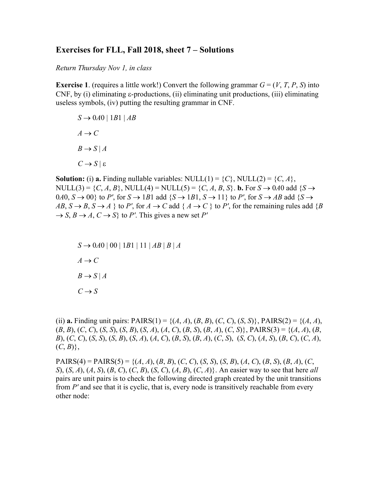## **Exercises for FLL, Fall 2018, sheet 7 – Solutions**

*Return Thursday Nov 1, in class* 

**Exercise 1**. (requires a little work!) Convert the following grammar  $G = (V, T, P, S)$  into CNF, by (i) eliminating  $\varepsilon$ -productions, (ii) eliminating unit productions, (iii) eliminating useless symbols, (iv) putting the resulting grammar in CNF.

 $S \rightarrow 0A0 \mid 1B1 \mid AB$  $A \rightarrow C$  $B \rightarrow S | A$  $C \rightarrow S \mid \varepsilon$ 

**Solution:** (i) **a.** Finding nullable variables: NULL(1) =  $\{C\}$ , NULL(2) =  $\{C, A\}$ , NULL(3) =  $\{C, A, B\}$ , NULL(4) = NULL(5) =  $\{C, A, B, S\}$ . **b.** For  $S \rightarrow 0A0$  add  $\{S \rightarrow$ 0*A*0, *S*  $\rightarrow$  00} to *P'*, for *S*  $\rightarrow$  1*B*1 add {*S*  $\rightarrow$  1*B*1, *S*  $\rightarrow$  11} to *P'*, for *S*  $\rightarrow$  *AB* add {*S*  $\rightarrow$  $AB, S \rightarrow B, S \rightarrow A$  } to *P'*, for  $A \rightarrow C$  add  $\{A \rightarrow C\}$  to *P'*, for the remaining rules add  $\{B\}$  $\rightarrow$  *S*, *B*  $\rightarrow$  *A*, *C*  $\rightarrow$  *S*} to *P'*. This gives a new set *P'* 

 $S \rightarrow 0A0 | 00 | 1B1 | 11 | AB | B | A$  $A \rightarrow C$  $B \rightarrow S | A$  $C \rightarrow S$ 

(ii) **a.** Finding unit pairs: PAIRS(1) = { $(A, A)$ ,  $(B, B)$ ,  $(C, C)$ ,  $(S, S)$ }, PAIRS(2) = { $(A, A)$ ,  $(B, B), (C, C), (S, S), (S, B), (S, A), (A, C), (B, S), (B, A), (C, S)$ , PAIRS(3) = {(A, A), (B,  $B$ ,  $(C, C)$ ,  $(S, S)$ ,  $(S, B)$ ,  $(S, A)$ ,  $(A, C)$ ,  $(B, S)$ ,  $(B, A)$ ,  $(C, S)$ ,  $(S, C)$ ,  $(A, S)$ ,  $(B, C)$ ,  $(C, A)$ ,  $(C, B)$ ,

PAIRS(4) = PAIRS(5) = {(*A*, *A*), (*B*, *B*), (*C*, *C*), (*S*, *S*), (*S*, *B*), (*A*, *C*), (*B*, *S*), (*B*, *A*), (*C*, *S*), (*S*, *A*), (*A*, *S*), (*B*, *C*), (*C*, *B*), (*S*, *C*), (*A*, *B*), (*C*, *A*)}. An easier way to see that here *all* pairs are unit pairs is to check the following directed graph created by the unit transitions from *P'* and see that it is cyclic, that is, every node is transitively reachable from every other node: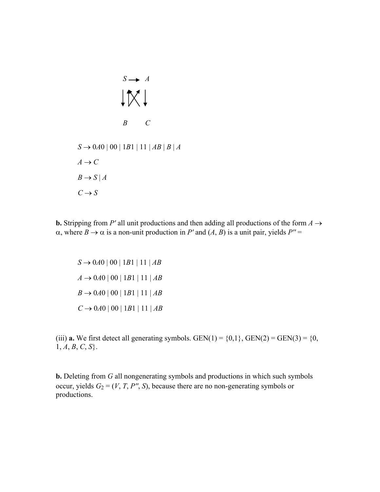*S A*  $1\times1$ *B C*  $S \rightarrow 0A0 | 00 | 1B1 | 11 | AB | B | A$  $A \rightarrow C$  $B \rightarrow S | A$  $C \rightarrow S$ 

**b.** Stripping from P' all unit productions and then adding all productions of the form  $A \rightarrow$  $\alpha$ , where  $B \to \alpha$  is a non-unit production in P' and  $(A, B)$  is a unit pair, yields  $P'' =$ 

 $S \rightarrow 0A0 | 00 | 1B1 | 11 | AB$  $A \rightarrow 0A0 | 00 | 1B1 | 11 | AB$  $B \to 0A0 | 00 | 1B1 | 11 | AB$  $C \rightarrow 0A0 | 00 | 1B1 | 11 | AB$ 

(iii) **a.** We first detect all generating symbols. GEN(1) =  $\{0,1\}$ , GEN(2) = GEN(3) =  $\{0,$  $1, A, B, C, S$ .

**b.** Deleting from *G* all nongenerating symbols and productions in which such symbols occur, yields  $G_2 = (V, T, P'', S)$ , because there are no non-generating symbols or productions.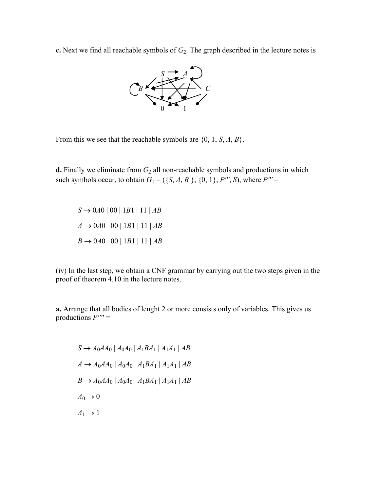**c.** Next we find all reachable symbols of  $G_2$ . The graph described in the lecture notes is



From this we see that the reachable symbols are {0, 1, *S*, *A*, *B*}.

**d.** Finally we eliminate from  $G_2$  all non-reachable symbols and productions in which such symbols occur, to obtain  $G_1 = (\{S, A, B\}, \{0, 1\}, P''', S)$ , where  $P''' =$ 

 $S \rightarrow 0A0 | 00 | 1B1 | 11 | AB$  $A \rightarrow 0A0 | 00 | 1B1 | 11 | AB$  $B \to 0A0 | 00 | 1B1 | 11 | AB$ 

(iv) In the last step, we obtain a CNF grammar by carrying out the two steps given in the proof of theorem 4.10 in the lecture notes.

**a.** Arrange that all bodies of lenght 2 or more consists only of variables. This gives us productions *P'''' =*

 $S \rightarrow A_0 A A_0 | A_0 A_0 | A_1 B A_1 | A_1 A_1 | AB$  $A \rightarrow A_0 A A_0 | A_0 A_0 | A_1 B A_1 | A_1 A_1 | A B$  $B \to A_0 A A_0 | A_0 A_0 | A_1 B A_1 | A_1 A_1 | A B$  $A_0 \rightarrow 0$  $A_1 \rightarrow 1$